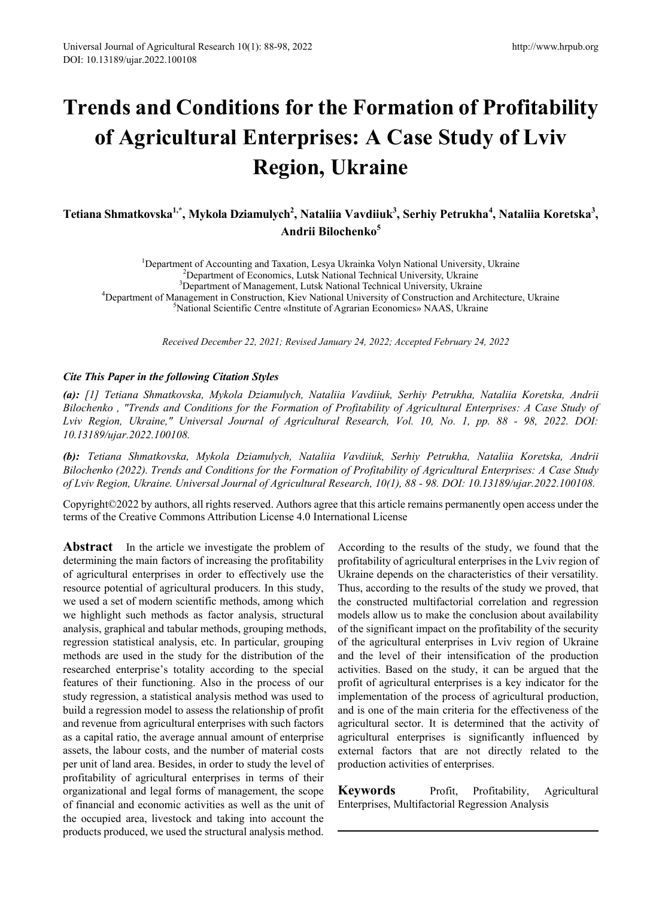# **Trends and Conditions for the Formation of Profitability of Agricultural Enterprises: A Case Study of Lviv Region, Ukraine**

 $\bf{\hat{S}}$  Tetiana Shmatkovska $^{1,*}$ , Mykola Dziamulych $^2$ , Nataliia Vavdiiuk $^3$ , Serhiy Petrukha $^4$ , Nataliia Koretska $^3$ , **Andrii Bilochenko<sup>5</sup>**

<sup>1</sup>Department of Accounting and Taxation, Lesya Ukrainka Volyn National University, Ukraine<br><sup>2</sup>Department of Economics Lutsk National Technical University, Ukraine <sup>2</sup>Department of Economics, Lutsk National Technical University, Ukraine <sup>3</sup>Department of Management, Lutsk National Technical University, Ukraine <sup>4</sup>Department of Management in Construction, Kiev National University of Construction and Architecture, Ukraine National Scientific Centre «Institute of Agrarian Economics» NAAS, Ukraine

*Received December 22, 2021; Revised January 24, 2022; Accepted February 24, 2022*

#### *Cite This Paper in the following Citation Styles*

*(a): [1] Tetiana Shmatkovska, Mykola Dziamulych, Nataliia Vavdiiuk, Serhiy Petrukha, Nataliia Koretska, Andrii Bilochenko , "Trends and Conditions for the Formation of Profitability of Agricultural Enterprises: A Case Study of Lviv Region, Ukraine," Universal Journal of Agricultural Research, Vol. 10, No. 1, pp. 88 - 98, 2022. DOI: 10.13189/ujar.2022.100108.* 

*(b): Tetiana Shmatkovska, Mykola Dziamulych, Nataliia Vavdiiuk, Serhiy Petrukha, Nataliia Koretska, Andrii Bilochenko (2022). Trends and Conditions for the Formation of Profitability of Agricultural Enterprises: A Case Study of Lviv Region, Ukraine. Universal Journal of Agricultural Research, 10(1), 88 - 98. DOI: 10.13189/ujar.2022.100108.* 

Copyright©2022 by authors, all rights reserved. Authors agree that this article remains permanently open access under the terms of the Creative Commons Attribution License 4.0 International License

**Abstract** In the article we investigate the problem of determining the main factors of increasing the profitability of agricultural enterprises in order to effectively use the resource potential of agricultural producers. In this study, we used a set of modern scientific methods, among which we highlight such methods as factor analysis, structural analysis, graphical and tabular methods, grouping methods, regression statistical analysis, etc. In particular, grouping methods are used in the study for the distribution of the researched enterprise's totality according to the special features of their functioning. Also in the process of our study regression, a statistical analysis method was used to build a regression model to assess the relationship of profit and revenue from agricultural enterprises with such factors as a capital ratio, the average annual amount of enterprise assets, the labour costs, and the number of material costs per unit of land area. Besides, in order to study the level of profitability of agricultural enterprises in terms of their organizational and legal forms of management, the scope of financial and economic activities as well as the unit of the occupied area, livestock and taking into account the products produced, we used the structural analysis method.

According to the results of the study, we found that the profitability of agricultural enterprises in the Lviv region of Ukraine depends on the characteristics of their versatility. Thus, according to the results of the study we proved, that the constructed multifactorial correlation and regression models allow us to make the conclusion about availability of the significant impact on the profitability of the security of the agricultural enterprises in Lviv region of Ukraine and the level of their intensification of the production activities. Based on the study, it can be argued that the profit of agricultural enterprises is a key indicator for the implementation of the process of agricultural production, and is one of the main criteria for the effectiveness of the agricultural sector. It is determined that the activity of agricultural enterprises is significantly influenced by external factors that are not directly related to the production activities of enterprises.

**Keywords** Profit, Profitability, Agricultural Enterprises, Multifactorial Regression Analysis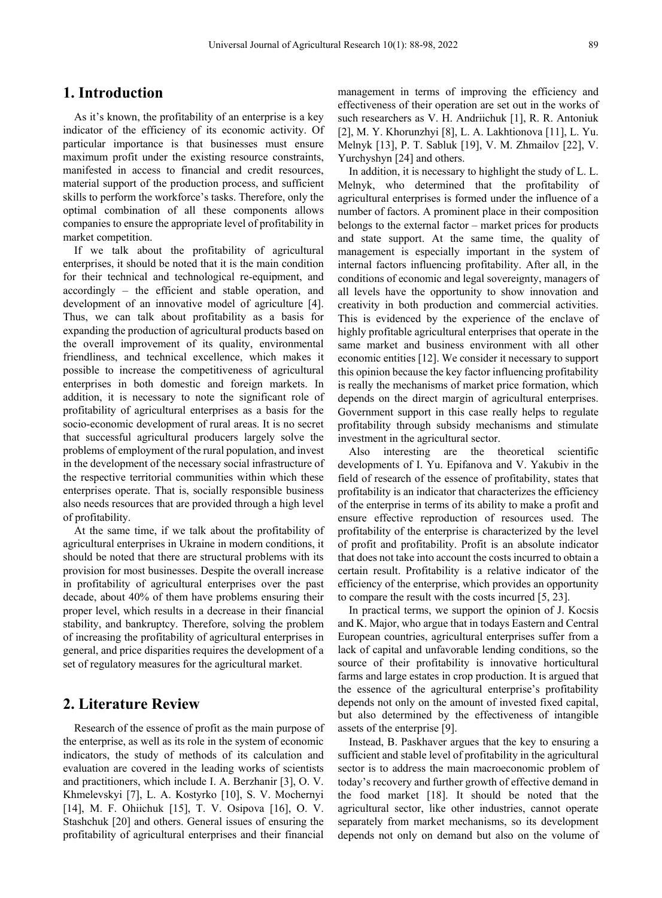#### **1. Introduction**

As it's known, the profitability of an enterprise is a key indicator of the efficiency of its economic activity. Of particular importance is that businesses must ensure maximum profit under the existing resource constraints, manifested in access to financial and credit resources, material support of the production process, and sufficient skills to perform the workforce's tasks. Therefore, only the optimal combination of all these components allows companies to ensure the appropriate level of profitability in market competition.

If we talk about the profitability of agricultural enterprises, it should be noted that it is the main condition for their technical and technological re-equipment, and accordingly – the efficient and stable operation, and development of an innovative model of agriculture [4]. Thus, we can talk about profitability as a basis for expanding the production of agricultural products based on the overall improvement of its quality, environmental friendliness, and technical excellence, which makes it possible to increase the competitiveness of agricultural enterprises in both domestic and foreign markets. In addition, it is necessary to note the significant role of profitability of agricultural enterprises as a basis for the socio-economic development of rural areas. It is no secret that successful agricultural producers largely solve the problems of employment of the rural population, and invest in the development of the necessary social infrastructure of the respective territorial communities within which these enterprises operate. That is, socially responsible business also needs resources that are provided through a high level of profitability.

At the same time, if we talk about the profitability of agricultural enterprises in Ukraine in modern conditions, it should be noted that there are structural problems with its provision for most businesses. Despite the overall increase in profitability of agricultural enterprises over the past decade, about 40% of them have problems ensuring their proper level, which results in a decrease in their financial stability, and bankruptcy. Therefore, solving the problem of increasing the profitability of agricultural enterprises in general, and price disparities requires the development of a set of regulatory measures for the agricultural market.

#### **2. Literature Review**

Research of the essence of profit as the main purpose of the enterprise, as well as its role in the system of economic indicators, the study of methods of its calculation and evaluation are covered in the leading works of scientists and practitioners, which include I. A. Berzhanir [3], O. V. Khmelevskyi [7], L. A. Kostyrko [10], S. V. Mochernyi [14], M. F. Ohiichuk [15], T. V. Osipova [16], O. V. Stashchuk [20] and others. General issues of ensuring the profitability of agricultural enterprises and their financial

management in terms of improving the efficiency and effectiveness of their operation are set out in the works of such researchers as V. H. Andriichuk [1], R. R. Antoniuk [2], M. Y. Khorunzhyi [8], L. A. Lakhtionova [11], L. Yu. Melnyk [13], P. T. Sabluk [19], V. M. Zhmailov [22], V. Yurchyshyn [24] and others.

In addition, it is necessary to highlight the study of L. L. Melnyk, who determined that the profitability of agricultural enterprises is formed under the influence of a number of factors. A prominent place in their composition belongs to the external factor – market prices for products and state support. At the same time, the quality of management is especially important in the system of internal factors influencing profitability. After all, in the conditions of economic and legal sovereignty, managers of all levels have the opportunity to show innovation and creativity in both production and commercial activities. This is evidenced by the experience of the enclave of highly profitable agricultural enterprises that operate in the same market and business environment with all other economic entities [12]. We consider it necessary to support this opinion because the key factor influencing profitability is really the mechanisms of market price formation, which depends on the direct margin of agricultural enterprises. Government support in this case really helps to regulate profitability through subsidy mechanisms and stimulate investment in the agricultural sector.

Also interesting are the theoretical scientific developments of I. Yu. Epifanova and V. Yakubiv in the field of research of the essence of profitability, states that profitability is an indicator that characterizes the efficiency of the enterprise in terms of its ability to make a profit and ensure effective reproduction of resources used. The profitability of the enterprise is characterized by the level of profit and profitability. Profit is an absolute indicator that does not take into account the costs incurred to obtain a certain result. Profitability is a relative indicator of the efficiency of the enterprise, which provides an opportunity to compare the result with the costs incurred [5, 23].

In practical terms, we support the opinion of J. Kocsis and K. Major, who argue that in todays Eastern and Central European countries, agricultural enterprises suffer from a lack of capital and unfavorable lending conditions, so the source of their profitability is innovative horticultural farms and large estates in crop production. It is argued that the essence of the agricultural enterprise's profitability depends not only on the amount of invested fixed capital, but also determined by the effectiveness of intangible assets of the enterprise [9].

Instead, B. Paskhaver argues that the key to ensuring a sufficient and stable level of profitability in the agricultural sector is to address the main macroeconomic problem of today's recovery and further growth of effective demand in the food market [18]. It should be noted that the agricultural sector, like other industries, cannot operate separately from market mechanisms, so its development depends not only on demand but also on the volume of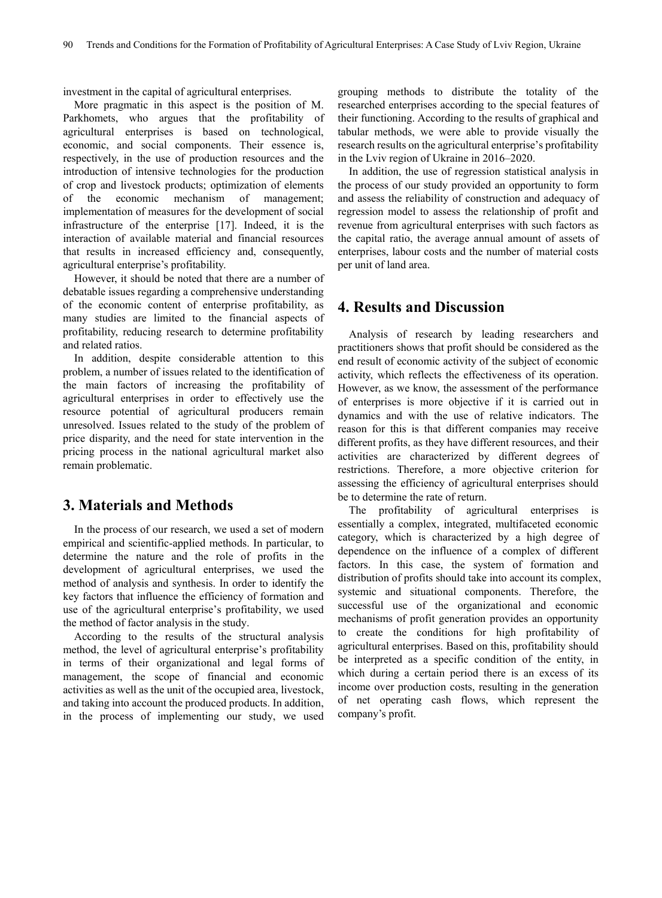investment in the capital of agricultural enterprises.

More pragmatic in this aspect is the position of M. Parkhomets, who argues that the profitability of agricultural enterprises is based on technological, economic, and social components. Their essence is, respectively, in the use of production resources and the introduction of intensive technologies for the production of crop and livestock products; optimization of elements of the economic mechanism of management; implementation of measures for the development of social infrastructure of the enterprise [17]. Indeed, it is the interaction of available material and financial resources that results in increased efficiency and, consequently, agricultural enterprise's profitability.

However, it should be noted that there are a number of debatable issues regarding a comprehensive understanding of the economic content of enterprise profitability, as many studies are limited to the financial aspects of profitability, reducing research to determine profitability and related ratios.

In addition, despite considerable attention to this problem, a number of issues related to the identification of the main factors of increasing the profitability of agricultural enterprises in order to effectively use the resource potential of agricultural producers remain unresolved. Issues related to the study of the problem of price disparity, and the need for state intervention in the pricing process in the national agricultural market also remain problematic.

### **3. Materials and Methods**

In the process of our research, we used a set of modern empirical and scientific-applied methods. In particular, to determine the nature and the role of profits in the development of agricultural enterprises, we used the method of analysis and synthesis. In order to identify the key factors that influence the efficiency of formation and use of the agricultural enterprise's profitability, we used the method of factor analysis in the study.

According to the results of the structural analysis method, the level of agricultural enterprise's profitability in terms of their organizational and legal forms of management, the scope of financial and economic activities as well as the unit of the occupied area, livestock, and taking into account the produced products. In addition, in the process of implementing our study, we used

grouping methods to distribute the totality of the researched enterprises according to the special features of their functioning. According to the results of graphical and tabular methods, we were able to provide visually the research results on the agricultural enterprise's profitability in the Lviv region of Ukraine in 2016–2020.

In addition, the use of regression statistical analysis in the process of our study provided an opportunity to form and assess the reliability of construction and adequacy of regression model to assess the relationship of profit and revenue from agricultural enterprises with such factors as the capital ratio, the average annual amount of assets of enterprises, labour costs and the number of material costs per unit of land area.

#### **4. Results and Discussion**

Analysis of research by leading researchers and practitioners shows that profit should be considered as the end result of economic activity of the subject of economic activity, which reflects the effectiveness of its operation. However, as we know, the assessment of the performance of enterprises is more objective if it is carried out in dynamics and with the use of relative indicators. The reason for this is that different companies may receive different profits, as they have different resources, and their activities are characterized by different degrees of restrictions. Therefore, a more objective criterion for assessing the efficiency of agricultural enterprises should be to determine the rate of return.

The profitability of agricultural enterprises is essentially a complex, integrated, multifaceted economic category, which is characterized by a high degree of dependence on the influence of a complex of different factors. In this case, the system of formation and distribution of profits should take into account its complex, systemic and situational components. Therefore, the successful use of the organizational and economic mechanisms of profit generation provides an opportunity to create the conditions for high profitability of agricultural enterprises. Based on this, profitability should be interpreted as a specific condition of the entity, in which during a certain period there is an excess of its income over production costs, resulting in the generation of net operating cash flows, which represent the company's profit.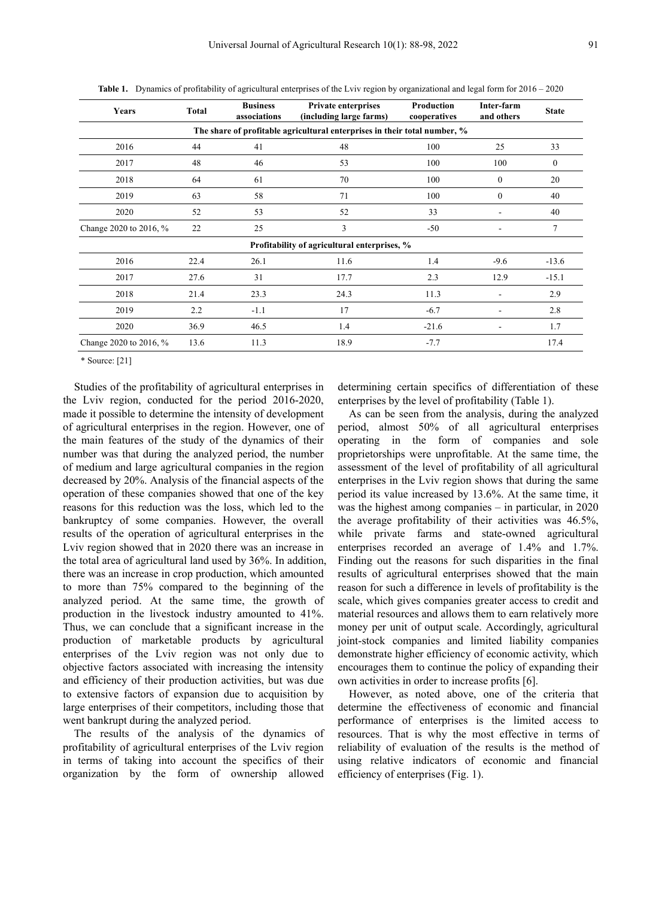| Years                                                                     | Total | <b>Business</b><br>associations | <b>Private enterprises</b><br>(including large farms) | Production<br>cooperatives | Inter-farm<br>and others | <b>State</b>   |  |  |  |  |
|---------------------------------------------------------------------------|-------|---------------------------------|-------------------------------------------------------|----------------------------|--------------------------|----------------|--|--|--|--|
| The share of profitable agricultural enterprises in their total number, % |       |                                 |                                                       |                            |                          |                |  |  |  |  |
| 2016                                                                      | 44    | 41                              | 48                                                    | 100                        | 25                       | 33             |  |  |  |  |
| 2017                                                                      | 48    | 46                              | 53                                                    | 100                        | 100                      | $\mathbf{0}$   |  |  |  |  |
| 2018                                                                      | 64    | 61                              | 70                                                    | 100                        | $\overline{0}$           | 20             |  |  |  |  |
| 2019                                                                      | 63    | 58                              | 71                                                    | 100                        | $\mathbf{0}$             | 40             |  |  |  |  |
| 2020                                                                      | 52    | 53                              | 52                                                    | 33                         |                          | 40             |  |  |  |  |
| Change 2020 to 2016, %                                                    | 22    | 25                              | 3                                                     | $-50$                      |                          | $\overline{7}$ |  |  |  |  |
| Profitability of agricultural enterprises, %                              |       |                                 |                                                       |                            |                          |                |  |  |  |  |
| 2016                                                                      | 22.4  | 26.1                            | 11.6                                                  | 1.4                        | $-9.6$                   | $-13.6$        |  |  |  |  |
| 2017                                                                      | 27.6  | 31                              | 17.7                                                  | 2.3                        | 12.9                     | $-15.1$        |  |  |  |  |
| 2018                                                                      | 21.4  | 23.3                            | 24.3                                                  | 11.3                       |                          | 2.9            |  |  |  |  |
| 2019                                                                      | 2.2   | $-1.1$                          | 17                                                    | $-6.7$                     |                          | 2.8            |  |  |  |  |
| 2020                                                                      | 36.9  | 46.5                            | 1.4                                                   | $-21.6$                    |                          | 1.7            |  |  |  |  |
| Change 2020 to 2016, %                                                    | 13.6  | 11.3                            | 18.9                                                  | $-7.7$                     |                          | 17.4           |  |  |  |  |

**Table 1.** Dynamics of profitability of agricultural enterprises of the Lviv region by organizational and legal form for 2016 – 2020

\* Source: [21]

Studies of the profitability of agricultural enterprises in the Lviv region, conducted for the period 2016-2020, made it possible to determine the intensity of development of agricultural enterprises in the region. However, one of the main features of the study of the dynamics of their number was that during the analyzed period, the number of medium and large agricultural companies in the region decreased by 20%. Analysis of the financial aspects of the operation of these companies showed that one of the key reasons for this reduction was the loss, which led to the bankruptcy of some companies. However, the overall results of the operation of agricultural enterprises in the Lviv region showed that in 2020 there was an increase in the total area of agricultural land used by 36%. In addition, there was an increase in crop production, which amounted to more than 75% compared to the beginning of the analyzed period. At the same time, the growth of production in the livestock industry amounted to 41%. Thus, we can conclude that a significant increase in the production of marketable products by agricultural enterprises of the Lviv region was not only due to objective factors associated with increasing the intensity and efficiency of their production activities, but was due to extensive factors of expansion due to acquisition by large enterprises of their competitors, including those that went bankrupt during the analyzed period.

The results of the analysis of the dynamics of profitability of agricultural enterprises of the Lviv region in terms of taking into account the specifics of their organization by the form of ownership allowed determining certain specifics of differentiation of these enterprises by the level of profitability (Table 1).

As can be seen from the analysis, during the analyzed period, almost 50% of all agricultural enterprises operating in the form of companies and sole proprietorships were unprofitable. At the same time, the assessment of the level of profitability of all agricultural enterprises in the Lviv region shows that during the same period its value increased by 13.6%. At the same time, it was the highest among companies – in particular, in 2020 the average profitability of their activities was 46.5%, while private farms and state-owned agricultural enterprises recorded an average of 1.4% and 1.7%. Finding out the reasons for such disparities in the final results of agricultural enterprises showed that the main reason for such a difference in levels of profitability is the scale, which gives companies greater access to credit and material resources and allows them to earn relatively more money per unit of output scale. Accordingly, agricultural joint-stock companies and limited liability companies demonstrate higher efficiency of economic activity, which encourages them to continue the policy of expanding their own activities in order to increase profits [6].

However, as noted above, one of the criteria that determine the effectiveness of economic and financial performance of enterprises is the limited access to resources. That is why the most effective in terms of reliability of evaluation of the results is the method of using relative indicators of economic and financial efficiency of enterprises (Fig. 1).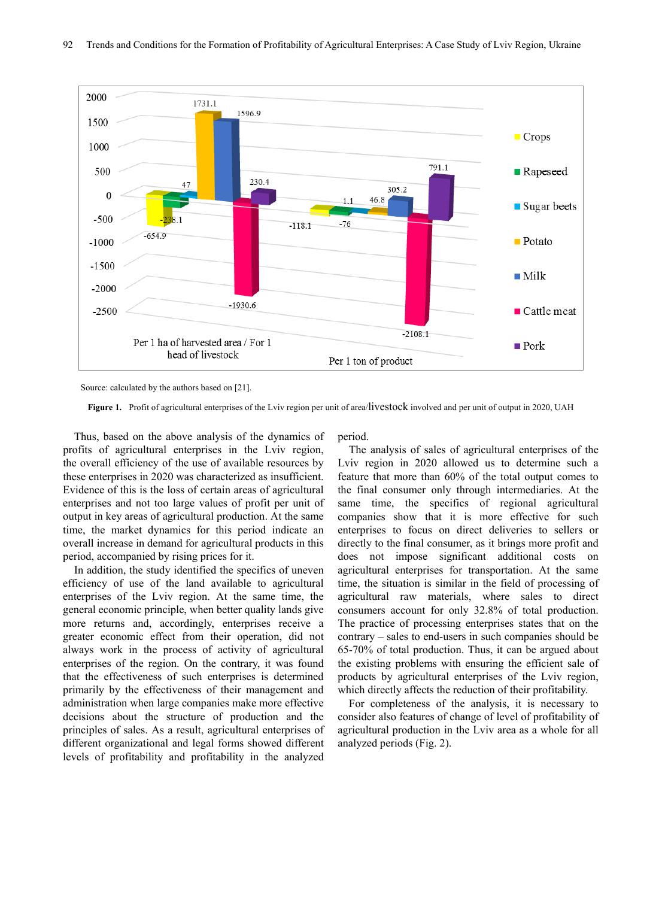

Source: calculated by the authors based on [21].

Thus, based on the above analysis of the dynamics of profits of agricultural enterprises in the Lviv region, the overall efficiency of the use of available resources by these enterprises in 2020 was characterized as insufficient. Evidence of this is the loss of certain areas of agricultural enterprises and not too large values of profit per unit of output in key areas of agricultural production. At the same time, the market dynamics for this period indicate an overall increase in demand for agricultural products in this period, accompanied by rising prices for it.

In addition, the study identified the specifics of uneven efficiency of use of the land available to agricultural enterprises of the Lviv region. At the same time, the general economic principle, when better quality lands give more returns and, accordingly, enterprises receive a greater economic effect from their operation, did not always work in the process of activity of agricultural enterprises of the region. On the contrary, it was found that the effectiveness of such enterprises is determined primarily by the effectiveness of their management and administration when large companies make more effective decisions about the structure of production and the principles of sales. As a result, agricultural enterprises of different organizational and legal forms showed different levels of profitability and profitability in the analyzed

period.

The analysis of sales of agricultural enterprises of the Lviv region in 2020 allowed us to determine such a feature that more than 60% of the total output comes to the final consumer only through intermediaries. At the same time, the specifics of regional agricultural companies show that it is more effective for such enterprises to focus on direct deliveries to sellers or directly to the final consumer, as it brings more profit and does not impose significant additional costs on agricultural enterprises for transportation. At the same time, the situation is similar in the field of processing of agricultural raw materials, where sales to direct consumers account for only 32.8% of total production. The practice of processing enterprises states that on the contrary – sales to end-users in such companies should be 65-70% of total production. Thus, it can be argued about the existing problems with ensuring the efficient sale of products by agricultural enterprises of the Lviv region, which directly affects the reduction of their profitability.

For completeness of the analysis, it is necessary to consider also features of change of level of profitability of agricultural production in the Lviv area as a whole for all analyzed periods (Fig. 2).

**Figure 1.** Profit of agricultural enterprises of the Lviv region per unit of area/livestock involved and per unit of output in 2020, UAH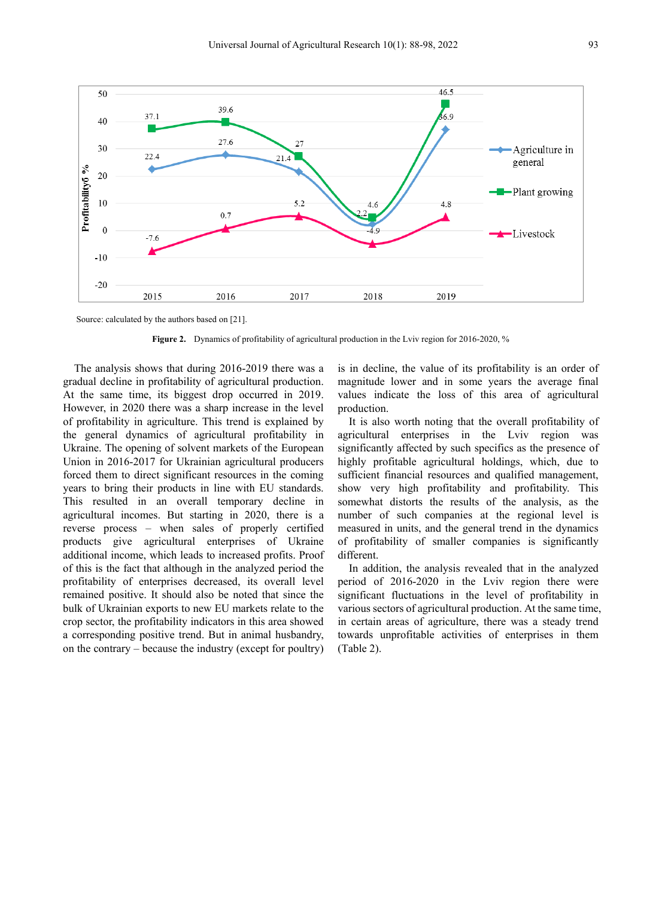

Source: calculated by the authors based on [21].

**Figure 2.** Dynamics of profitability of agricultural production in the Lviv region for 2016-2020, %

The analysis shows that during 2016-2019 there was a gradual decline in profitability of agricultural production. At the same time, its biggest drop occurred in 2019. However, in 2020 there was a sharp increase in the level of profitability in agriculture. This trend is explained by the general dynamics of agricultural profitability in Ukraine. The opening of solvent markets of the European Union in 2016-2017 for Ukrainian agricultural producers forced them to direct significant resources in the coming years to bring their products in line with EU standards. This resulted in an overall temporary decline in agricultural incomes. But starting in 2020, there is a reverse process – when sales of properly certified products give agricultural enterprises of Ukraine additional income, which leads to increased profits. Proof of this is the fact that although in the analyzed period the profitability of enterprises decreased, its overall level remained positive. It should also be noted that since the bulk of Ukrainian exports to new EU markets relate to the crop sector, the profitability indicators in this area showed a corresponding positive trend. But in animal husbandry, on the contrary – because the industry (except for poultry)

is in decline, the value of its profitability is an order of magnitude lower and in some years the average final values indicate the loss of this area of agricultural production.

It is also worth noting that the overall profitability of agricultural enterprises in the Lviv region was significantly affected by such specifics as the presence of highly profitable agricultural holdings, which, due to sufficient financial resources and qualified management, show very high profitability and profitability. This somewhat distorts the results of the analysis, as the number of such companies at the regional level is measured in units, and the general trend in the dynamics of profitability of smaller companies is significantly different.

In addition, the analysis revealed that in the analyzed period of 2016-2020 in the Lviv region there were significant fluctuations in the level of profitability in various sectors of agricultural production. At the same time, in certain areas of agriculture, there was a steady trend towards unprofitable activities of enterprises in them (Table 2).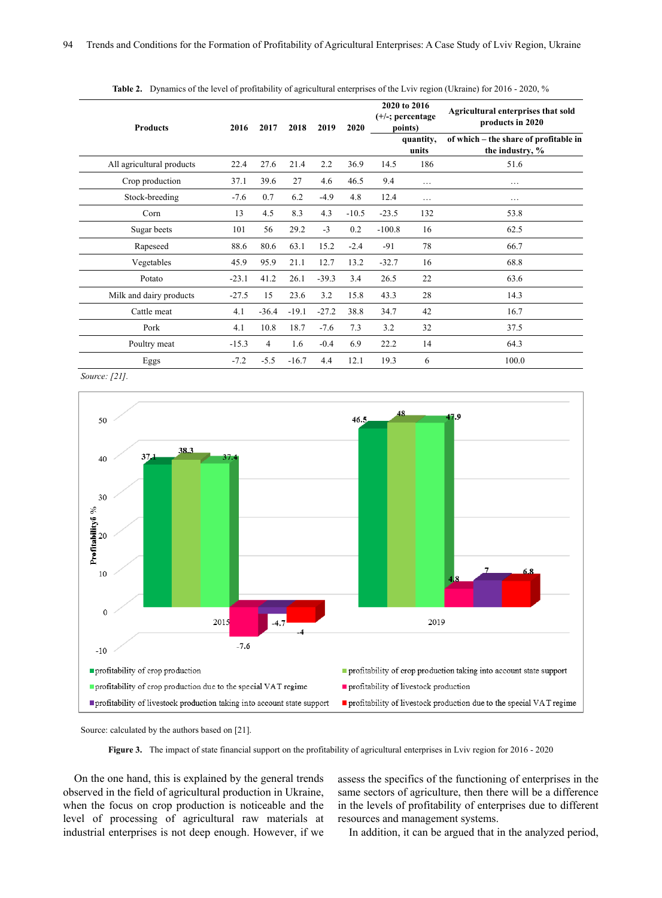| <b>Products</b>           | 2016    | 2017    | 2018    | 2019    | 2020    | 2020 to 2016<br>$(+/-;$ percentage<br>points) |                    | Agricultural enterprises that sold<br>products in 2020   |  |
|---------------------------|---------|---------|---------|---------|---------|-----------------------------------------------|--------------------|----------------------------------------------------------|--|
|                           |         |         |         |         |         |                                               | quantity,<br>units | of which – the share of profitable in<br>the industry, % |  |
| All agricultural products | 22.4    | 27.6    | 21.4    | 2.2     | 36.9    | 14.5                                          | 186                | 51.6                                                     |  |
| Crop production           | 37.1    | 39.6    | 27      | 4.6     | 46.5    | 9.4                                           | $\cdots$           | $\cdots$                                                 |  |
| Stock-breeding            | $-7.6$  | 0.7     | 6.2     | $-4.9$  | 4.8     | 12.4                                          | $\cdots$           | .                                                        |  |
| Corn                      | 13      | 4.5     | 8.3     | 4.3     | $-10.5$ | $-23.5$                                       | 132                | 53.8                                                     |  |
| Sugar beets               | 101     | 56      | 29.2    | $-3$    | 0.2     | $-100.8$                                      | 16                 | 62.5                                                     |  |
| Rapeseed                  | 88.6    | 80.6    | 63.1    | 15.2    | $-2.4$  | $-91$                                         | 78                 | 66.7                                                     |  |
| Vegetables                | 45.9    | 95.9    | 21.1    | 12.7    | 13.2    | $-32.7$                                       | 16                 | 68.8                                                     |  |
| Potato                    | $-23.1$ | 41.2    | 26.1    | $-39.3$ | 3.4     | 26.5                                          | 22                 | 63.6                                                     |  |
| Milk and dairy products   | $-27.5$ | 15      | 23.6    | 3.2     | 15.8    | 43.3                                          | 28                 | 14.3                                                     |  |
| Cattle meat               | 4.1     | $-36.4$ | $-19.1$ | $-27.2$ | 38.8    | 34.7                                          | 42                 | 16.7                                                     |  |
| Pork                      | 4.1     | 10.8    | 18.7    | $-7.6$  | 7.3     | 3.2                                           | 32                 | 37.5                                                     |  |
| Poultry meat              | $-15.3$ | 4       | 1.6     | $-0.4$  | 6.9     | 22.2                                          | 14                 | 64.3                                                     |  |
| Eggs                      | $-7.2$  | $-5.5$  | $-16.7$ | 4.4     | 12.1    | 19.3                                          | 6                  | 100.0                                                    |  |

Table 2. Dynamics of the level of profitability of agricultural enterprises of the Lviv region (Ukraine) for 2016 - 2020, %

*Source: [21].*



Source: calculated by the authors based on [21].

**Figure 3.** The impact of state financial support on the profitability of agricultural enterprises in Lviv region for 2016 - 2020

On the one hand, this is explained by the general trends observed in the field of agricultural production in Ukraine, when the focus on crop production is noticeable and the level of processing of agricultural raw materials at industrial enterprises is not deep enough. However, if we

assess the specifics of the functioning of enterprises in the same sectors of agriculture, then there will be a difference in the levels of profitability of enterprises due to different resources and management systems.

In addition, it can be argued that in the analyzed period,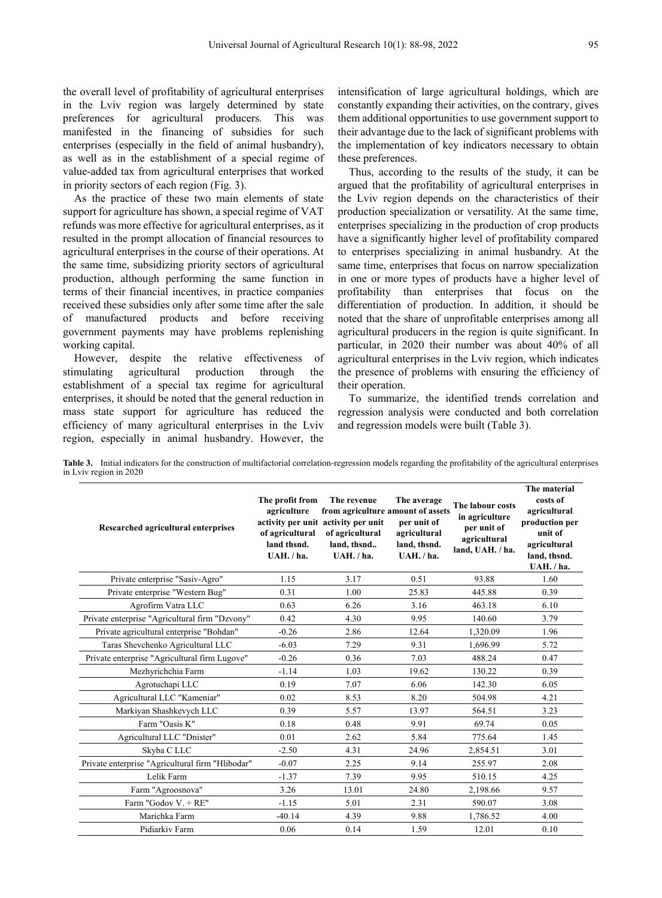the overall level of profitability of agricultural enterprises in the Lviv region was largely determined by state preferences for agricultural producers. This was manifested in the financing of subsidies for such enterprises (especially in the field of animal husbandry), as well as in the establishment of a special regime of value-added tax from agricultural enterprises that worked in priority sectors of each region (Fig. 3).

As the practice of these two main elements of state support for agriculture has shown, a special regime of VAT refunds was more effective for agricultural enterprises, as it resulted in the prompt allocation of financial resources to agricultural enterprises in the course of their operations. At the same time, subsidizing priority sectors of agricultural production, although performing the same function in terms of their financial incentives, in practice companies received these subsidies only after some time after the sale of manufactured products and before receiving government payments may have problems replenishing working capital.

However, despite the relative effectiveness of stimulating agricultural production through the establishment of a special tax regime for agricultural enterprises, it should be noted that the general reduction in mass state support for agriculture has reduced the efficiency of many agricultural enterprises in the Lviv region, especially in animal husbandry. However, the

intensification of large agricultural holdings, which are constantly expanding their activities, on the contrary, gives them additional opportunities to use government support to their advantage due to the lack of significant problems with the implementation of key indicators necessary to obtain these preferences.

Thus, according to the results of the study, it can be argued that the profitability of agricultural enterprises in the Lviv region depends on the characteristics of their production specialization or versatility. At the same time, enterprises specializing in the production of crop products have a significantly higher level of profitability compared to enterprises specializing in animal husbandry. At the same time, enterprises that focus on narrow specialization in one or more types of products have a higher level of profitability than enterprises that focus on the differentiation of production. In addition, it should be noted that the share of unprofitable enterprises among all agricultural producers in the region is quite significant. In particular, in 2020 their number was about 40% of all agricultural enterprises in the Lviv region, which indicates the presence of problems with ensuring the efficiency of their operation.

To summarize, the identified trends correlation and regression analysis were conducted and both correlation and regression models were built (Table 3).

**Table 3.** Initial indicators for the construction of multifactorial correlation-regression models regarding the profitability of the agricultural enterprises in Lviv region in 2020

| Researched agricultural enterprises              | The profit from<br>agriculture<br>of agricultural<br>land thsnd.<br>UAH. / ha. | The revenue<br>from agriculture amount of assets<br>activity per unit activity per unit<br>of agricultural<br>land. thsnd<br>UAH. / ha. | The average<br>per unit of<br>agricultural<br>land, thsnd.<br>UAH. / ha. | The labour costs<br>in agriculture<br>per unit of<br>agricultural<br>land, UAH. / ha. | The material<br>costs of<br>agricultural<br>production per<br>unit of<br>agricultural<br>land, thsnd.<br>UAH. / ha. |
|--------------------------------------------------|--------------------------------------------------------------------------------|-----------------------------------------------------------------------------------------------------------------------------------------|--------------------------------------------------------------------------|---------------------------------------------------------------------------------------|---------------------------------------------------------------------------------------------------------------------|
| Private enterprise "Sasiv-Agro"                  | 1.15                                                                           | 3.17                                                                                                                                    | 0.51                                                                     | 93.88                                                                                 | 1.60                                                                                                                |
| Private enterprise "Western Bug"                 | 0.31                                                                           | 1.00                                                                                                                                    | 25.83                                                                    | 445.88                                                                                | 0.39                                                                                                                |
| Agrofirm Vatra LLC                               | 0.63                                                                           | 6.26                                                                                                                                    | 3.16                                                                     | 463.18                                                                                | 6.10                                                                                                                |
| Private enterprise "Agricultural firm "Dzvony"   | 0.42                                                                           | 4.30                                                                                                                                    | 9.95                                                                     | 140.60                                                                                | 3.79                                                                                                                |
| Private agricultural enterprise "Bohdan"         | $-0.26$                                                                        | 2.86                                                                                                                                    | 12.64                                                                    | 1,320.09                                                                              | 1.96                                                                                                                |
| Taras Shevchenko Agricultural LLC                | $-6.03$                                                                        | 7.29                                                                                                                                    | 9.31                                                                     | 1.696.99                                                                              | 5.72                                                                                                                |
| Private enterprise "Agricultural firm Lugove"    | $-0.26$                                                                        | 0.36                                                                                                                                    | 7.03                                                                     | 488.24                                                                                | 0.47                                                                                                                |
| Mezhyrichchia Farm                               | $-1.14$                                                                        | 1.03                                                                                                                                    | 19.62                                                                    | 130.22                                                                                | 0.39                                                                                                                |
| Agrotuchapi LLC                                  | 0.19                                                                           | 7.07                                                                                                                                    | 6.06                                                                     | 142.30                                                                                | 6.05                                                                                                                |
| Agricultural LLC "Kameniar"                      | 0.02                                                                           | 8.53                                                                                                                                    | 8.20                                                                     | 504.98                                                                                | 4.21                                                                                                                |
| Markiyan Shashkevych LLC                         | 0.39                                                                           | 5.57                                                                                                                                    | 13.97                                                                    | 564.51                                                                                | 3.23                                                                                                                |
| Farm "Oasis K"                                   | 0.18                                                                           | 0.48                                                                                                                                    | 9.91                                                                     | 69.74                                                                                 | 0.05                                                                                                                |
| Agricultural LLC "Dnister"                       | 0.01                                                                           | 2.62                                                                                                                                    | 5.84                                                                     | 775.64                                                                                | 1.45                                                                                                                |
| Skyba C LLC                                      | $-2.50$                                                                        | 4.31                                                                                                                                    | 24.96                                                                    | 2,854.51                                                                              | 3.01                                                                                                                |
| Private enterprise "Agricultural firm "Hlibodar" | $-0.07$                                                                        | 2.25                                                                                                                                    | 9.14                                                                     | 255.97                                                                                | 2.08                                                                                                                |
| Lelik Farm                                       | $-1.37$                                                                        | 7.39                                                                                                                                    | 9.95                                                                     | 510.15                                                                                | 4.25                                                                                                                |
| Farm "Agroosnova"                                | 3.26                                                                           | 13.01                                                                                                                                   | 24.80                                                                    | 2,198.66                                                                              | 9.57                                                                                                                |
| Farm "Godov V. + RE"                             | $-1.15$                                                                        | 5.01                                                                                                                                    | 2.31                                                                     | 590.07                                                                                | 3.08                                                                                                                |
| Marichka Farm                                    | $-40.14$                                                                       | 4.39                                                                                                                                    | 9.88                                                                     | 1,786.52                                                                              | 4.00                                                                                                                |
| Pidiarkiv Farm                                   | 0.06                                                                           | 0.14                                                                                                                                    | 1.59                                                                     | 12.01                                                                                 | 0.10                                                                                                                |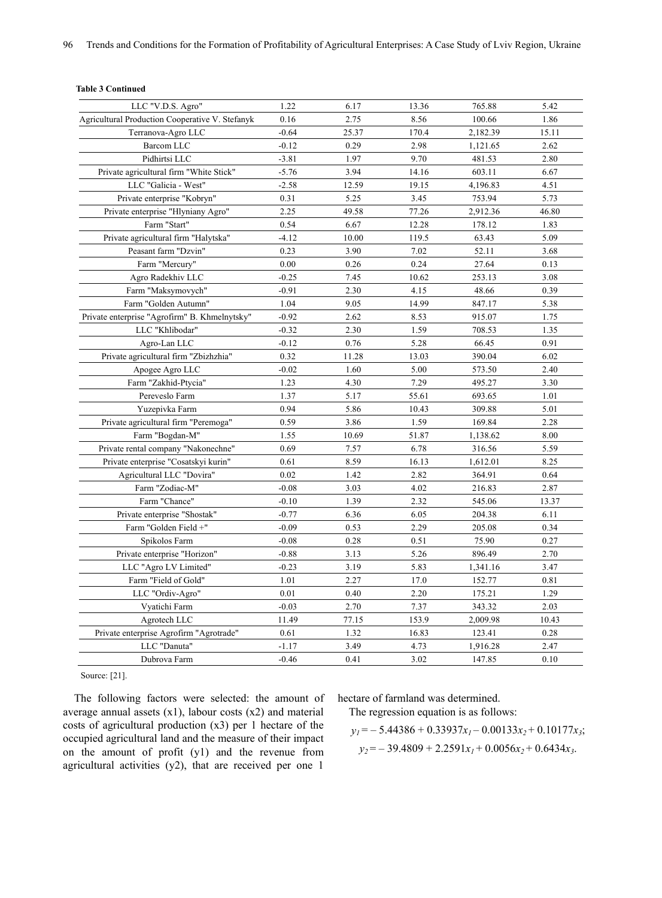| LLC "V.D.S. Agro"                                      | 1.22    | 6.17  | 13.36 | 765.88   | 5.42  |
|--------------------------------------------------------|---------|-------|-------|----------|-------|
| <b>Agricultural Production Cooperative V. Stefanyk</b> | 0.16    | 2.75  | 8.56  | 100.66   | 1.86  |
| Terranova-Agro LLC                                     | $-0.64$ | 25.37 | 170.4 | 2,182.39 | 15.11 |
| Barcom LLC                                             | $-0.12$ | 0.29  | 2.98  | 1,121.65 | 2.62  |
| Pidhirtsi LLC                                          | $-3.81$ | 1.97  | 9.70  | 481.53   | 2.80  |
| Private agricultural firm "White Stick"                | $-5.76$ | 3.94  | 14.16 | 603.11   | 6.67  |
| LLC "Galicia - West"                                   | $-2.58$ | 12.59 | 19.15 | 4,196.83 | 4.51  |
| Private enterprise "Kobryn"                            | 0.31    | 5.25  | 3.45  | 753.94   | 5.73  |
| Private enterprise "Hlyniany Agro"                     | 2.25    | 49.58 | 77.26 | 2,912.36 | 46.80 |
| Farm "Start"                                           | 0.54    | 6.67  | 12.28 | 178.12   | 1.83  |
| Private agricultural firm "Halytska"                   | $-4.12$ | 10.00 | 119.5 | 63.43    | 5.09  |
| Peasant farm "Dzvin"                                   | 0.23    | 3.90  | 7.02  | 52.11    | 3.68  |
| Farm "Mercury"                                         | 0.00    | 0.26  | 0.24  | 27.64    | 0.13  |
| Agro Radekhiv LLC                                      | $-0.25$ | 7.45  | 10.62 | 253.13   | 3.08  |
| Farm "Maksymovych"                                     | $-0.91$ | 2.30  | 4.15  | 48.66    | 0.39  |
| Farm "Golden Autumn"                                   | 1.04    | 9.05  | 14.99 | 847.17   | 5.38  |
| Private enterprise "Agrofirm" B. Khmelnytsky"          | $-0.92$ | 2.62  | 8.53  | 915.07   | 1.75  |
| LLC "Khlibodar"                                        | $-0.32$ | 2.30  | 1.59  | 708.53   | 1.35  |
| Agro-Lan LLC                                           | $-0.12$ | 0.76  | 5.28  | 66.45    | 0.91  |
| Private agricultural firm "Zbizhzhia"                  | 0.32    | 11.28 | 13.03 | 390.04   | 6.02  |
| Apogee Agro LLC                                        | $-0.02$ | 1.60  | 5.00  | 573.50   | 2.40  |
| Farm "Zakhid-Ptycia"                                   | 1.23    | 4.30  | 7.29  | 495.27   | 3.30  |
| Pereveslo Farm                                         | 1.37    | 5.17  | 55.61 | 693.65   | 1.01  |
| Yuzepivka Farm                                         | 0.94    | 5.86  | 10.43 | 309.88   | 5.01  |
| Private agricultural firm "Peremoga"                   | 0.59    | 3.86  | 1.59  | 169.84   | 2.28  |
| Farm "Bogdan-M"                                        | 1.55    | 10.69 | 51.87 | 1,138.62 | 8.00  |
| Private rental company "Nakonechne"                    | 0.69    | 7.57  | 6.78  | 316.56   | 5.59  |
| Private enterprise "Cosatskyi kurin"                   | 0.61    | 8.59  | 16.13 | 1,612.01 | 8.25  |
| Agricultural LLC "Dovira"                              | 0.02    | 1.42  | 2.82  | 364.91   | 0.64  |
| Farm "Zodiac-M"                                        | $-0.08$ | 3.03  | 4.02  | 216.83   | 2.87  |
| Farm "Chance"                                          | $-0.10$ | 1.39  | 2.32  | 545.06   | 13.37 |
| Private enterprise "Shostak"                           | $-0.77$ | 6.36  | 6.05  | 204.38   | 6.11  |
| Farm "Golden Field +"                                  | $-0.09$ | 0.53  | 2.29  | 205.08   | 0.34  |
| Spikolos Farm                                          | $-0.08$ | 0.28  | 0.51  | 75.90    | 0.27  |
| Private enterprise "Horizon"                           | $-0.88$ | 3.13  | 5.26  | 896.49   | 2.70  |
| LLC "Agro LV Limited"                                  | $-0.23$ | 3.19  | 5.83  | 1,341.16 | 3.47  |
| Farm "Field of Gold"                                   | 1.01    | 2.27  | 17.0  | 152.77   | 0.81  |
| LLC "Ordiv-Agro"                                       | 0.01    | 0.40  | 2.20  | 175.21   | 1.29  |
| Vyatichi Farm                                          | $-0.03$ | 2.70  | 7.37  | 343.32   | 2.03  |
| Agrotech LLC                                           | 11.49   | 77.15 | 153.9 | 2,009.98 | 10.43 |
| Private enterprise Agrofirm "Agrotrade"                | 0.61    | 1.32  | 16.83 | 123.41   | 0.28  |
| LLC "Danuta"                                           | $-1.17$ | 3.49  | 4.73  | 1,916.28 | 2.47  |
| Dubrova Farm                                           | $-0.46$ | 0.41  | 3.02  | 147.85   | 0.10  |
|                                                        |         |       |       |          |       |

#### **Table 3 Continued**

Source: [21].

The following factors were selected: the amount of average annual assets  $(x1)$ , labour costs  $(x2)$  and material costs of agricultural production (x3) per 1 hectare of the occupied agricultural land and the measure of their impact on the amount of profit (y1) and the revenue from agricultural activities (y2), that are received per one 1

hectare of farmland was determined. The regression equation is as follows:

 $y_1 = -5.44386 + 0.33937x_1 - 0.00133x_2 + 0.10177x_3$ ;  $y_2 = -39.4809 + 2.2591x_1 + 0.0056x_2 + 0.6434x_3$ .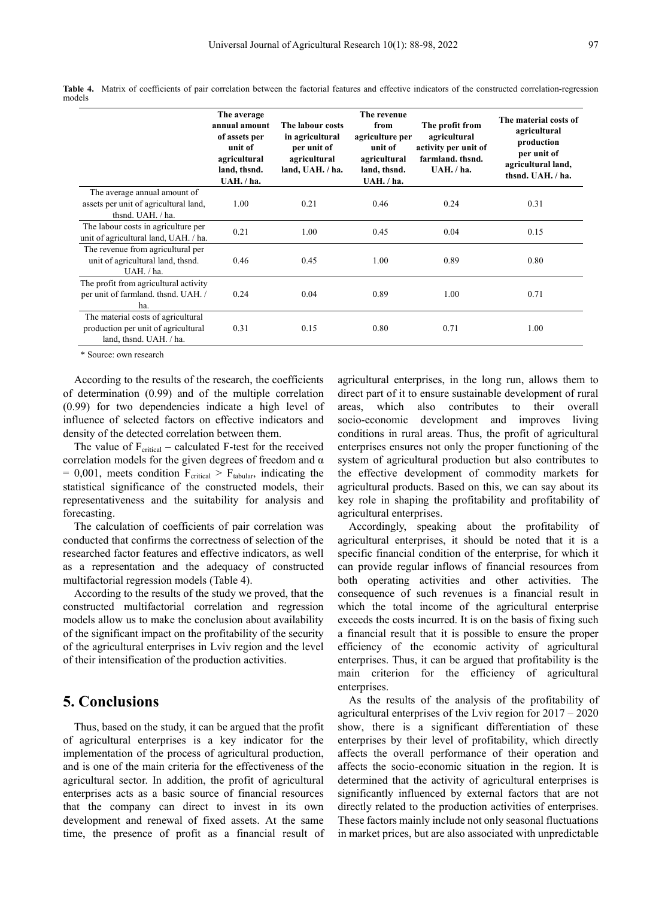|                                                                                                      | The average<br>annual amount<br>of assets per<br>unit of<br>agricultural<br>land, thsnd.<br>$UAH.$ /ha. | The labour costs<br>in agricultural<br>per unit of<br>agricultural<br>land, UAH. / ha. | The revenue<br>from<br>agriculture per<br>unit of<br>agricultural<br>land, thsnd.<br>UAH. / ha. | The profit from<br>agricultural<br>activity per unit of<br>farmland, thsnd.<br>$UAH.$ /ha. | The material costs of<br>agricultural<br>production<br>per unit of<br>agricultural land,<br>thsnd. UAH. / ha. |
|------------------------------------------------------------------------------------------------------|---------------------------------------------------------------------------------------------------------|----------------------------------------------------------------------------------------|-------------------------------------------------------------------------------------------------|--------------------------------------------------------------------------------------------|---------------------------------------------------------------------------------------------------------------|
| The average annual amount of<br>assets per unit of agricultural land,<br>thsnd. UAH. / ha.           | 1.00                                                                                                    | 0.21                                                                                   | 0.46                                                                                            | 0.24                                                                                       | 0.31                                                                                                          |
| The labour costs in agriculture per<br>unit of agricultural land, UAH. / ha.                         | 0.21                                                                                                    | 1.00                                                                                   | 0.45                                                                                            | 0.04                                                                                       | 0.15                                                                                                          |
| The revenue from agricultural per<br>unit of agricultural land, thsnd.<br>UAH. / ha.                 | 0.46                                                                                                    | 0.45                                                                                   | 1.00                                                                                            | 0.89                                                                                       | 0.80                                                                                                          |
| The profit from agricultural activity<br>per unit of farmland. thsnd. UAH. /<br>ha.                  | 0.24                                                                                                    | 0.04                                                                                   | 0.89                                                                                            | 1.00                                                                                       | 0.71                                                                                                          |
| The material costs of agricultural<br>production per unit of agricultural<br>land, thsnd. UAH. / ha. | 0.31                                                                                                    | 0.15                                                                                   | 0.80                                                                                            | 0.71                                                                                       | 1.00                                                                                                          |

**Table 4.** Matrix of coefficients of pair correlation between the factorial features and effective indicators of the constructed correlation-regression models

\* Source: own research

According to the results of the research, the coefficients of determination (0.99) and of the multiple correlation (0.99) for two dependencies indicate a high level of influence of selected factors on effective indicators and density of the detected correlation between them.

The value of  $F_{critical}$  – calculated F-test for the received correlation models for the given degrees of freedom and  $\alpha$  $= 0.001$ , meets condition  $F_{critical} > F_{tabular}$ , indicating the statistical significance of the constructed models, their representativeness and the suitability for analysis and forecasting.

The calculation of coefficients of pair correlation was conducted that confirms the correctness of selection of the researched factor features and effective indicators, as well as a representation and the adequacy of constructed multifactorial regression models (Table 4).

According to the results of the study we proved, that the constructed multifactorial correlation and regression models allow us to make the conclusion about availability of the significant impact on the profitability of the security of the agricultural enterprises in Lviv region and the level of their intensification of the production activities.

## **5. Conclusions**

Thus, based on the study, it can be argued that the profit of agricultural enterprises is a key indicator for the implementation of the process of agricultural production, and is one of the main criteria for the effectiveness of the agricultural sector. In addition, the profit of agricultural enterprises acts as a basic source of financial resources that the company can direct to invest in its own development and renewal of fixed assets. At the same time, the presence of profit as a financial result of agricultural enterprises, in the long run, allows them to direct part of it to ensure sustainable development of rural areas, which also contributes to their overall socio-economic development and improves living conditions in rural areas. Thus, the profit of agricultural enterprises ensures not only the proper functioning of the system of agricultural production but also contributes to the effective development of commodity markets for agricultural products. Based on this, we can say about its key role in shaping the profitability and profitability of agricultural enterprises.

Accordingly, speaking about the profitability of agricultural enterprises, it should be noted that it is a specific financial condition of the enterprise, for which it can provide regular inflows of financial resources from both operating activities and other activities. The consequence of such revenues is a financial result in which the total income of the agricultural enterprise exceeds the costs incurred. It is on the basis of fixing such a financial result that it is possible to ensure the proper efficiency of the economic activity of agricultural enterprises. Thus, it can be argued that profitability is the main criterion for the efficiency of agricultural enterprises.

As the results of the analysis of the profitability of agricultural enterprises of the Lviv region for 2017 – 2020 show, there is a significant differentiation of these enterprises by their level of profitability, which directly affects the overall performance of their operation and affects the socio-economic situation in the region. It is determined that the activity of agricultural enterprises is significantly influenced by external factors that are not directly related to the production activities of enterprises. These factors mainly include not only seasonal fluctuations in market prices, but are also associated with unpredictable